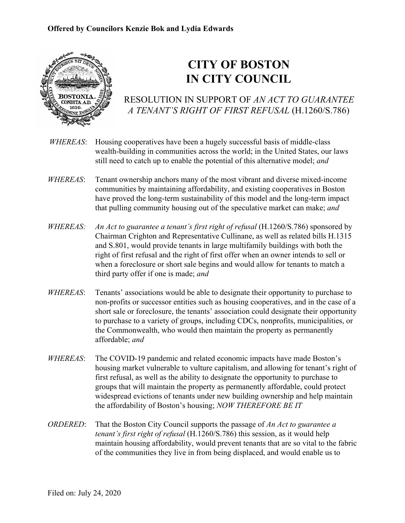

## **CITY OF BOSTON IN CITY COUNCIL**

RESOLUTION IN SUPPORT OF *AN ACT TO GUARANTEE A TENANT'S RIGHT OF FIRST REFUSAL* (H.1260/S.786)

- *WHEREAS*: Housing cooperatives have been a hugely successful basis of middle-class wealth-building in communities across the world; in the United States, our laws still need to catch up to enable the potential of this alternative model; *and*
- *WHEREAS*: Tenant ownership anchors many of the most vibrant and diverse mixed-income communities by maintaining affordability, and existing cooperatives in Boston have proved the long-term sustainability of this model and the long-term impact that pulling community housing out of the speculative market can make; *and*
- *WHEREAS: An Act to guarantee a tenant's first right of refusal* (H.1260/S.786) sponsored by Chairman Crighton and Representative Cullinane, as well as related bills H.1315 and S.801, would provide tenants in large multifamily buildings with both the right of first refusal and the right of first offer when an owner intends to sell or when a foreclosure or short sale begins and would allow for tenants to match a third party offer if one is made; *and*
- *WHEREAS*: Tenants' associations would be able to designate their opportunity to purchase to non-profits or successor entities such as housing cooperatives, and in the case of a short sale or foreclosure, the tenants' association could designate their opportunity to purchase to a variety of groups, including CDCs, nonprofits, municipalities, or the Commonwealth, who would then maintain the property as permanently affordable; *and*
- *WHEREAS*: The COVID-19 pandemic and related economic impacts have made Boston's housing market vulnerable to vulture capitalism, and allowing for tenant's right of first refusal, as well as the ability to designate the opportunity to purchase to groups that will maintain the property as permanently affordable, could protect widespread evictions of tenants under new building ownership and help maintain the affordability of Boston's housing; *NOW THEREFORE BE IT*
- *ORDERED*: That the Boston City Council supports the passage of *An Act to guarantee a tenant's first right of refusal* (H.1260/S.786) this session, as it would help maintain housing affordability, would prevent tenants that are so vital to the fabric of the communities they live in from being displaced, and would enable us to